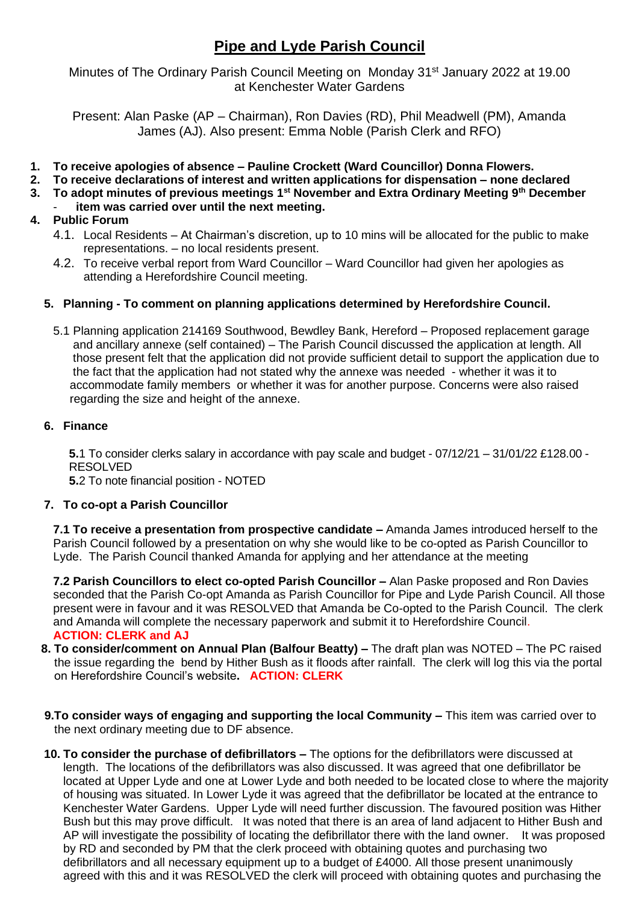# **Pipe and Lyde Parish Council**

Minutes of The Ordinary Parish Council Meeting on Monday 31<sup>st</sup> January 2022 at 19.00 at Kenchester Water Gardens

Present: Alan Paske (AP – Chairman), Ron Davies (RD), Phil Meadwell (PM), Amanda James (AJ). Also present: Emma Noble (Parish Clerk and RFO)

- **1. To receive apologies of absence – Pauline Crockett (Ward Councillor) Donna Flowers.**
- **2. To receive declarations of interest and written applications for dispensation – none declared**
- **3. To adopt minutes of previous meetings 1st November and Extra Ordinary Meeting 9th December**
- item was carried over until the next meeting.

## **4. Public Forum**

- 4.1. Local Residents At Chairman's discretion, up to 10 mins will be allocated for the public to make representations. – no local residents present.
- 4.2. To receive verbal report from Ward Councillor Ward Councillor had given her apologies as attending a Herefordshire Council meeting.

#### **5. Planning - To comment on planning applications determined by Herefordshire Council.**

5.1 Planning application 214169 Southwood, Bewdley Bank, Hereford – Proposed replacement garage and ancillary annexe (self contained) – The Parish Council discussed the application at length. All those present felt that the application did not provide sufficient detail to support the application due to the fact that the application had not stated why the annexe was needed - whether it was it to accommodate family members or whether it was for another purpose. Concerns were also raised regarding the size and height of the annexe.

#### **6. Finance**

**5.**1 To consider clerks salary in accordance with pay scale and budget - 07/12/21 – 31/01/22 £128.00 - RESOLVED

**5.**2 To note financial position - NOTED

### **7. To co-opt a Parish Councillor**

**7.1 To receive a presentation from prospective candidate –** Amanda James introduced herself to the Parish Council followed by a presentation on why she would like to be co-opted as Parish Councillor to Lyde. The Parish Council thanked Amanda for applying and her attendance at the meeting

**7.2 Parish Councillors to elect co-opted Parish Councillor –** Alan Paske proposed and Ron Davies seconded that the Parish Co-opt Amanda as Parish Councillor for Pipe and Lyde Parish Council. All those present were in favour and it was RESOLVED that Amanda be Co-opted to the Parish Council. The clerk and Amanda will complete the necessary paperwork and submit it to Herefordshire Council. **ACTION: CLERK and AJ**

- **8. To consider/comment on Annual Plan (Balfour Beatty) –** The draft plan was NOTED The PC raised the issue regarding the bend by Hither Bush as it floods after rainfall. The clerk will log this via the portal on Herefordshire Council's website**. ACTION: CLERK**
- **9.To consider ways of engaging and supporting the local Community –** This item was carried over to the next ordinary meeting due to DF absence.
- **10. To consider the purchase of defibrillators –** The options for the defibrillators were discussed at length. The locations of the defibrillators was also discussed. It was agreed that one defibrillator be located at Upper Lyde and one at Lower Lyde and both needed to be located close to where the majority of housing was situated. In Lower Lyde it was agreed that the defibrillator be located at the entrance to Kenchester Water Gardens. Upper Lyde will need further discussion. The favoured position was Hither Bush but this may prove difficult. It was noted that there is an area of land adjacent to Hither Bush and AP will investigate the possibility of locating the defibrillator there with the land owner. It was proposed by RD and seconded by PM that the clerk proceed with obtaining quotes and purchasing two defibrillators and all necessary equipment up to a budget of £4000. All those present unanimously agreed with this and it was RESOLVED the clerk will proceed with obtaining quotes and purchasing the